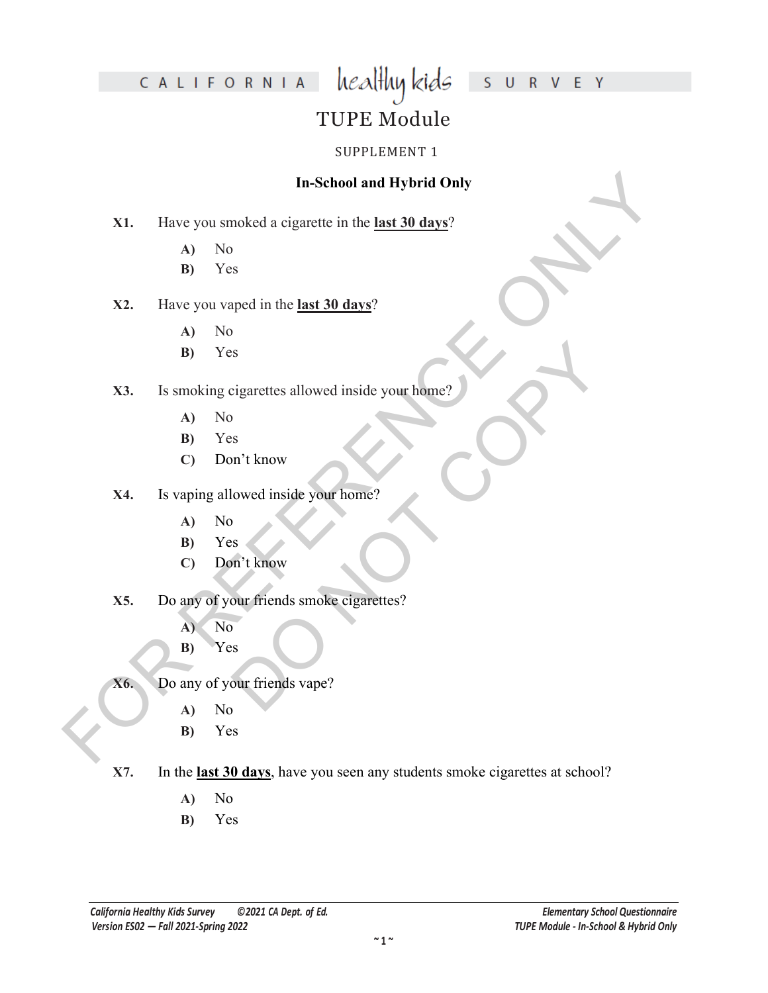# S U R V E Y

# CALIFORNIA

# TUPE Module

healthy kids

#### SUPPLEMENT 1

#### **In-School and Hybrid Only**

- **X1.** Have you smoked a cigarette in the **last 30 days**?
	- **A)** No
	- **B)** Yes

#### **X2.** Have you vaped in the **last 30 days**?

- **A)** No
- **B)** Yes

# In-School and Hybrid Only<br>
X1. Have you smoked a eigarette in the <u>last 30 days</u>?<br>
A) No<br>
B) Yes<br>
X2. Have you vaped in the <u>last 30 days?</u><br>
A) No<br>
A) No<br>
B) Yes<br>
X4. Is vaping allowed inside your home?<br>
A) No<br>
C) Don't kn DO NOT COPY **X3.** Is smoking cigarettes allowed inside your home?

- **A)** No
- **B)** Yes
- **C)** Don't know
- **X4.** Is vaping allowed inside your home?
	- **A)** No
	- **B)** Yes
	- **C)** Don't know
- **X5.** Do any of your friends smoke cigarettes?
	- **A)** No
	- **B)** Yes
- **X6.** Do any of your friends vape?
	- **A)** No
	- **B)** Yes
- **X7.** In the **last 30 days**, have you seen any students smoke cigarettes at school?
	- **A)** No
	- **B)** Yes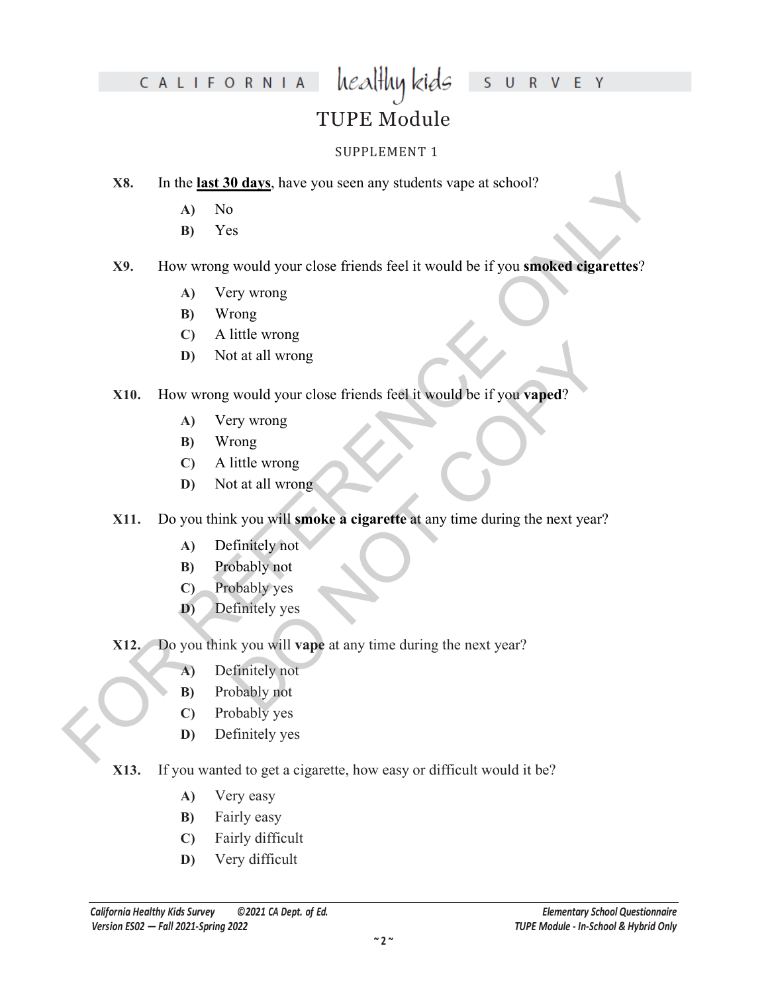# CALIFORNIA

# S U R V E Y

# TUPE Module

healthy kids

#### SUPPLEMENT 1

- **X8.** In the **last 30 days**, have you seen any students vape at school?
	- **A)** No
	- **B)** Yes

# X8. In the <u>last 30 days</u> have you seen any students vape at school?<br>
A) No<br>
A) O Now<br>
B) Yes<br>
X9. How wrong would your close friends feel it would be if you smoked digarettes?<br>
A) Very wrong<br>
C) A little wrong<br>
No Wrong **X9.** How wrong would your close friends feel it would be if you **smoked cigarettes**?

- **A)** Very wrong
- **B)** Wrong
- **C)** A little wrong
- **D)** Not at all wrong

#### **X10.** How wrong would your close friends feel it would be if you **vaped**?

- **A)** Very wrong
- **B)** Wrong
- **C)** A little wrong
- **D)** Not at all wrong
- or the set of the set of the set of the set of the set of the set of the set of the set of the set of the set of the set of the set of the set of the set of the set of the set of the set of the set of the set of the set of **X11.** Do you think you will **smoke a cigarette** at any time during the next year?
	- **A)** Definitely not
	- **B)** Probably not
	- **C)** Probably yes
	- **D)** Definitely yes
- **X12.** Do you think you will **vape** at any time during the next year?
	- **A)** Definitely not
	- **B)** Probably not
	- **C)** Probably yes
	- **D)** Definitely yes
- **X13.** If you wanted to get a cigarette, how easy or difficult would it be?
	- **A)** Very easy
	- **B)** Fairly easy
	- **C)** Fairly difficult
	- **D)** Very difficult